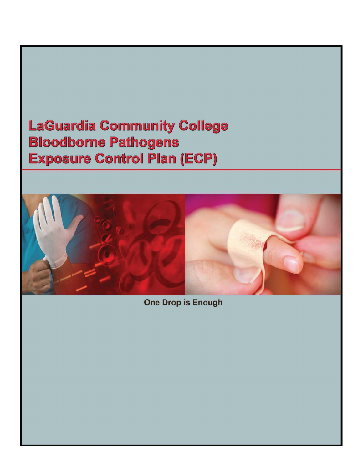# **LaGuardia Community College Bloodborne Pathogens Exposure Control Plan (ECP)**



**One Drop is Enough**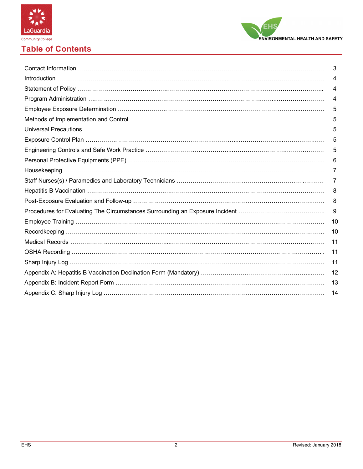



# **Table of Contents**

| 3  |
|----|
| 4  |
| 4  |
| 4  |
| 5  |
| 5  |
| 5  |
| 5  |
| 5  |
| 6  |
| 7  |
| 7  |
| 8  |
| 8  |
| 9  |
| 10 |
| 10 |
| 11 |
| 11 |
| 11 |
| 12 |
| 13 |
| 14 |
|    |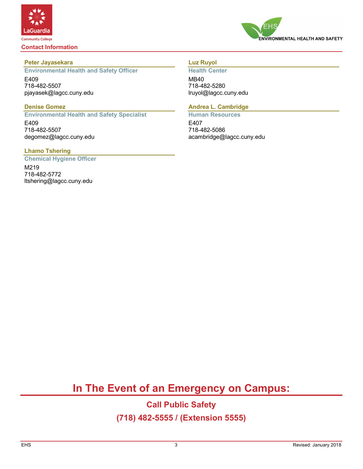

**Contact Information**



# **Peter Jayasekara**

**Environmental Health and Safety Officer** E409 718-482-5507 pjayasek@lagcc.cuny.edu

#### **Denise Gomez**

**Environmental Health and Safety Specialist** E409 718-482-5507 degomez@lagcc.cuny.edu

# **Lhamo Tshering**

**Chemical Hygiene Officer**

M219 718-482-5772 ltshering@lagcc.cuny.edu

# **Luz Ruyol**

**Health Center** MB40 718-482-5280 lruyol@lagcc.cuny.edu

# **Andrea L. Cambridge**

**Human Resources** E407 718-482-5086 acambridge@lagcc.cuny.edu

# **In The Event of an Emergency on Campus:**

# **Call Public Safety (718) 482-5555 / (Extension 5555)**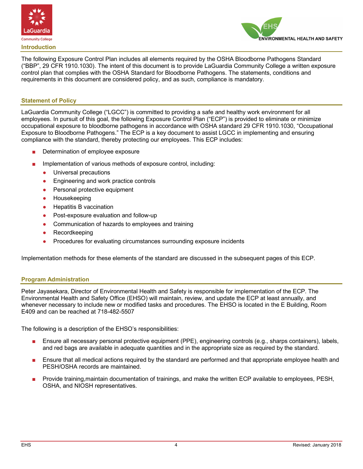



The following Exposure Control Plan includes all elements required by the OSHA Bloodborne Pathogens Standard ("BBP", 29 CFR 1910.1030). The intent of this document is to provide LaGuardia Community College a written exposure control plan that complies with the OSHA Standard for Bloodborne Pathogens. The statements, conditions and requirements in this document are considered policy, and as such, compliance is mandatory.

#### **Statement of Policy**

LaGuardia Community College ("LGCC") is committed to providing a safe and healthy work environment for all employees. In pursuit of this goal, the following Exposure Control Plan ("ECP") is provided to eliminate or minimize occupational exposure to bloodborne pathogens in accordance with OSHA standard 29 CFR 1910.1030, "Occupational Exposure to Bloodborne Pathogens." The ECP is a key document to assist LGCC in implementing and ensuring compliance with the standard, thereby protecting our employees. This ECP includes:

- Determination of employee exposure
- Implementation of various methods of exposure control, including:
	- Universal precautions
	- Engineering and work practice controls
	- Personal protective equipment
	- **Housekeeping**
	- **Hepatitis B vaccination**
	- Post-exposure evaluation and follow-up
	- Communication of hazards to employees and training
	- Recordkeeping
	- Procedures for evaluating circumstances surrounding exposure incidents

Implementation methods for these elements of the standard are discussed in the subsequent pages of this ECP.

#### **Program Administration**

Peter Jayasekara, Director of Environmental Health and Safety is responsible for implementation of the ECP. The Environmental Health and Safety Office (EHSO) will maintain, review, and update the ECP at least annually, and whenever necessary to include new or modified tasks and procedures. The EHSO is located in the E Building, Room E409 and can be reached at 718-482-5507

The following is a description of the EHSO's responsibilities:

- Ensure all necessary personal protective equipment (PPE), engineering controls (e.g., sharps containers), labels, and red bags are available in adequate quantities and in the appropriate size as required by the standard.
- Ensure that all medical actions required by the standard are performed and that appropriate employee health and PESH/OSHA records are maintained.
- Provide training, maintain documentation of trainings, and make the written ECP available to employees, PESH, OSHA, and NIOSH representatives.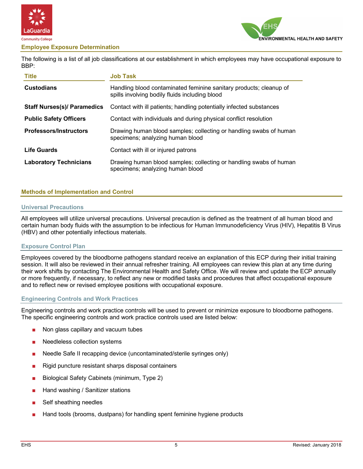

#### **Employee Exposure Determination**



The following is a list of all job classifications at our establishment in which employees may have occupational exposure to BBP:

| <b>Title</b>                       | <b>Job Task</b>                                                                                                      |  |  |
|------------------------------------|----------------------------------------------------------------------------------------------------------------------|--|--|
| <b>Custodians</b>                  | Handling blood contaminated feminine sanitary products; cleanup of<br>spills involving bodily fluids including blood |  |  |
| <b>Staff Nurses(s)/ Paramedics</b> | Contact with ill patients; handling potentially infected substances                                                  |  |  |
| <b>Public Safety Officers</b>      | Contact with individuals and during physical conflict resolution                                                     |  |  |
| <b>Professors/Instructors</b>      | Drawing human blood samples; collecting or handling swabs of human<br>specimens; analyzing human blood               |  |  |
| <b>Life Guards</b>                 | Contact with ill or injured patrons                                                                                  |  |  |
| <b>Laboratory Technicians</b>      | Drawing human blood samples; collecting or handling swabs of human<br>specimens; analyzing human blood               |  |  |

#### **Methods of Implementation and Control**

#### **Universal Precautions**

All employees will utilize universal precautions. Universal precaution is defined as the treatment of all human blood and certain human body fluids with the assumption to be infectious for Human Immunodeficiency Virus (HIV), Hepatitis B Virus (HBV) and other potentially infectious materials.

#### **Exposure Control Plan**

Employees covered by the bloodborne pathogens standard receive an explanation of this ECP during their initial training session. It will also be reviewed in their annual refresher training. All employees can review this plan at any time during their work shifts by contacting The Environmental Health and Safety Office. We will review and update the ECP annually or more frequently, if necessary, to reflect any new or modified tasks and procedures that affect occupational exposure and to reflect new or revised employee positions with occupational exposure.

#### **Engineering Controls and Work Practices**

Engineering controls and work practice controls will be used to prevent or minimize exposure to bloodborne pathogens. The specific engineering controls and work practice controls used are listed below:

- Non glass capillary and vacuum tubes
- Needleless collection systems
- Needle Safe II recapping device (uncontaminated/sterile syringes only)
- Rigid puncture resistant sharps disposal containers
- Biological Safety Cabinets (minimum, Type 2)
- Hand washing / Sanitizer stations
- Self sheathing needles
- Hand tools (brooms, dustpans) for handling spent feminine hygiene products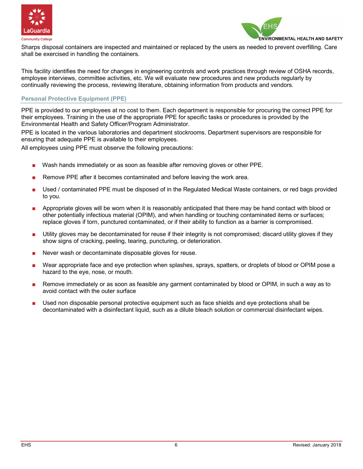



Sharps disposal containers are inspected and maintained or replaced by the users as needed to prevent overfilling. Care shall be exercised in handling the containers.

This facility identifies the need for changes in engineering controls and work practices through review of OSHA records, employee interviews, committee activities, etc. We will evaluate new procedures and new products regularly by continually reviewing the process, reviewing literature, obtaining information from products and vendors.

# **Personal Protective Equipment (PPE)**

PPE is provided to our employees at no cost to them. Each department is responsible for procuring the correct PPE for their employees. Training in the use of the appropriate PPE for specific tasks or procedures is provided by the Environmental Health and Safety Officer/Program Administrator.

PPE is located in the various laboratories and department stockrooms. Department supervisors are responsible for ensuring that adequate PPE is available to their employees.

All employees using PPE must observe the following precautions:

- Wash hands immediately or as soon as feasible after removing gloves or other PPE.
- Remove PPE after it becomes contaminated and before leaving the work area.
- Used / contaminated PPE must be disposed of in the Regulated Medical Waste containers, or red bags provided to you.
- Appropriate gloves will be worn when it is reasonably anticipated that there may be hand contact with blood or other potentially infectious material (OPIM), and when handling or touching contaminated items or surfaces; replace gloves if torn, punctured contaminated, or if their ability to function as a barrier is compromised.
- Utility gloves may be decontaminated for reuse if their integrity is not compromised; discard utility gloves if they show signs of cracking, peeling, tearing, puncturing, or deterioration.
- Never wash or decontaminate disposable gloves for reuse.
- Wear appropriate face and eye protection when splashes, sprays, spatters, or droplets of blood or OPIM pose a hazard to the eye, nose, or mouth.
- Remove immediately or as soon as feasible any garment contaminated by blood or OPIM, in such a way as to avoid contact with the outer surface
- Used non disposable personal protective equipment such as face shields and eye protections shall be decontaminated with a disinfectant liquid, such as a dilute bleach solution or commercial disinfectant wipes.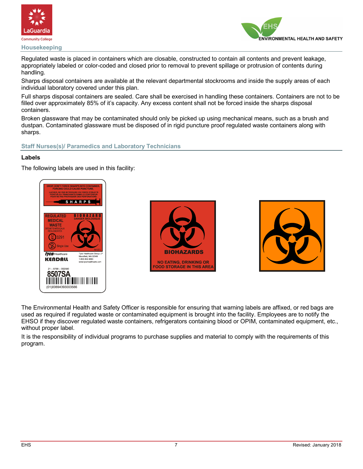

**Housekeeping**



Regulated waste is placed in containers which are closable, constructed to contain all contents and prevent leakage, appropriately labeled or color-coded and closed prior to removal to prevent spillage or protrusion of contents during handling.

Sharps disposal containers are available at the relevant departmental stockrooms and inside the supply areas of each individual laboratory covered under this plan.

Full sharps disposal containers are sealed. Care shall be exercised in handling these containers. Containers are not to be filled over approximately 85% of it's capacity. Any excess content shall not be forced inside the sharps disposal containers.

Broken glassware that may be contaminated should only be picked up using mechanical means, such as a brush and dustpan. Contaminated glassware must be disposed of in rigid puncture proof regulated waste containers along with sharps.

### **Staff Nurses(s)/ Paramedics and Laboratory Technicians**

#### **Labels**

The following labels are used in this facility:







The Environmental Health and Safety Officer is responsible for ensuring that warning labels are affixed, or red bags are used as required if regulated waste or contaminated equipment is brought into the facility. Employees are to notify the EHSO if they discover regulated waste containers, refrigerators containing blood or OPIM, contaminated equipment, etc., without proper label.

It is the responsibility of individual programs to purchase supplies and material to comply with the requirements of this program.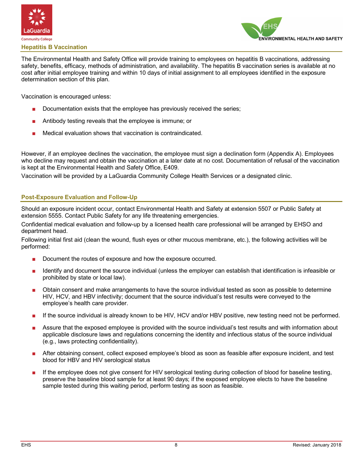



The Environmental Health and Safety Office will provide training to employees on hepatitis B vaccinations, addressing safety, benefits, efficacy, methods of administration, and availability. The hepatitis B vaccination series is available at no cost after initial employee training and within 10 days of initial assignment to all employees identified in the exposure determination section of this plan.

Vaccination is encouraged unless:

- Documentation exists that the employee has previously received the series;
- Antibody testing reveals that the employee is immune; or
- Medical evaluation shows that vaccination is contraindicated.

However, if an employee declines the vaccination, the employee must sign a declination form (Appendix A). Employees who decline may request and obtain the vaccination at a later date at no cost. Documentation of refusal of the vaccination is kept at the Environmental Health and Safety Office, E409.

Vaccination will be provided by a LaGuardia Community College Health Services or a designated clinic.

# **Post-Exposure Evaluation and Follow-Up**

Should an exposure incident occur, contact Environmental Health and Safety at extension 5507 or Public Safety at extension 5555. Contact Public Safety for any life threatening emergencies.

Confidential medical evaluation and follow-up by a licensed health care professional will be arranged by EHSO and department head.

Following initial first aid (clean the wound, flush eyes or other mucous membrane, etc.), the following activities will be performed:

- Document the routes of exposure and how the exposure occurred.
- Identify and document the source individual (unless the employer can establish that identification is infeasible or prohibited by state or local law).
- Obtain consent and make arrangements to have the source individual tested as soon as possible to determine HIV, HCV, and HBV infectivity; document that the source individual's test results were conveyed to the employee's health care provider.
- If the source individual is already known to be HIV, HCV and/or HBV positive, new testing need not be performed.
- Assure that the exposed employee is provided with the source individual's test results and with information about applicable disclosure laws and regulations concerning the identity and infectious status of the source individual (e.g., laws protecting confidentiality).
- After obtaining consent, collect exposed employee's blood as soon as feasible after exposure incident, and test blood for HBV and HIV serological status
- If the employee does not give consent for HIV serological testing during collection of blood for baseline testing, preserve the baseline blood sample for at least 90 days; if the exposed employee elects to have the baseline sample tested during this waiting period, perform testing as soon as feasible.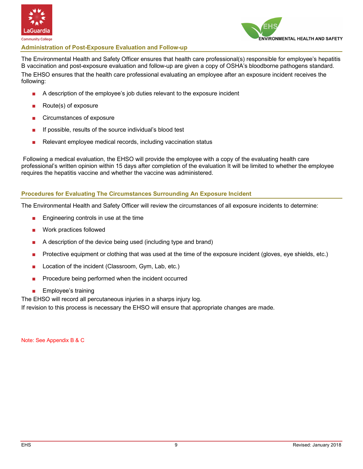



#### **Administration of Post-Exposure Evaluation and Follow-up**

The Environmental Health and Safety Officer ensures that health care professional(s) responsible for employee's hepatitis B vaccination and post-exposure evaluation and follow-up are given a copy of OSHA's bloodborne pathogens standard. The EHSO ensures that the health care professional evaluating an employee after an exposure incident receives the following:

- A description of the employee's job duties relevant to the exposure incident
- Route(s) of exposure
- Circumstances of exposure
- If possible, results of the source individual's blood test
- Relevant employee medical records, including vaccination status

Following a medical evaluation, the EHSO will provide the employee with a copy of the evaluating health care professional's written opinion within 15 days after completion of the evaluation It will be limited to whether the employee requires the hepatitis vaccine and whether the vaccine was administered.

#### **Procedures for Evaluating The Circumstances Surrounding An Exposure Incident**

The Environmental Health and Safety Officer will review the circumstances of all exposure incidents to determine:

- Engineering controls in use at the time
- Work practices followed
- A description of the device being used (including type and brand)
- Protective equipment or clothing that was used at the time of the exposure incident (gloves, eye shields, etc.)
- Location of the incident (Classroom, Gym, Lab, etc.)
- Procedure being performed when the incident occurred
- Employee's training

The EHSO will record all percutaneous injuries in a sharps injury log.

If revision to this process is necessary the EHSO will ensure that appropriate changes are made.

Note: See Appendix B & C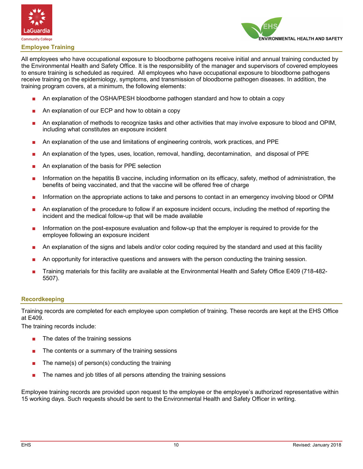



#### **Employee Training**

All employees who have occupational exposure to bloodborne pathogens receive initial and annual training conducted by the Environmental Health and Safety Office. It is the responsibility of the manager and supervisors of covered employees to ensure training is scheduled as required. All employees who have occupational exposure to bloodborne pathogens receive training on the epidemiology, symptoms, and transmission of bloodborne pathogen diseases. In addition, the training program covers, at a minimum, the following elements:

- An explanation of the OSHA/PESH bloodborne pathogen standard and how to obtain a copy
- An explanation of our ECP and how to obtain a copy
- An explanation of methods to recognize tasks and other activities that may involve exposure to blood and OPIM, including what constitutes an exposure incident
- An explanation of the use and limitations of engineering controls, work practices, and PPE
- An explanation of the types, uses, location, removal, handling, decontamination, and disposal of PPE
- An explanation of the basis for PPE selection
- Information on the hepatitis B vaccine, including information on its efficacy, safety, method of administration, the benefits of being vaccinated, and that the vaccine will be offered free of charge
- Information on the appropriate actions to take and persons to contact in an emergency involving blood or OPIM
- An explanation of the procedure to follow if an exposure incident occurs, including the method of reporting the incident and the medical follow-up that will be made available
- Information on the post-exposure evaluation and follow-up that the employer is required to provide for the employee following an exposure incident
- An explanation of the signs and labels and/or color coding required by the standard and used at this facility
- An opportunity for interactive questions and answers with the person conducting the training session.
- Training materials for this facility are available at the Environmental Health and Safety Office E409 (718-482- 5507).

#### **Recordkeeping**

Training records are completed for each employee upon completion of training. These records are kept at the EHS Office at E409.

The training records include:

- The dates of the training sessions
- The contents or a summary of the training sessions
- The name(s) of person(s) conducting the training
- The names and job titles of all persons attending the training sessions

Employee training records are provided upon request to the employee or the employee's authorized representative within 15 working days. Such requests should be sent to the Environmental Health and Safety Officer in writing.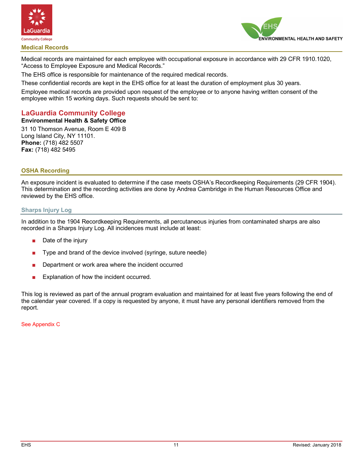



Medical records are maintained for each employee with occupational exposure in accordance with 29 CFR 1910.1020, "Access to Employee Exposure and Medical Records."

The EHS office is responsible for maintenance of the required medical records.

These confidential records are kept in the EHS office for at least the duration of employment plus 30 years.

Employee medical records are provided upon request of the employee or to anyone having written consent of the employee within 15 working days. Such requests should be sent to:

# **LaGuardia Community College**

#### **Environmental Health & Safety Office**

31 10 Thomson Avenue, Room E 409 B Long Island City, NY 11101. **Phone:** (718) 482 5507 **Fax:** (718) 482 5495

# **OSHA Recording**

An exposure incident is evaluated to determine if the case meets OSHA's Recordkeeping Requirements (29 CFR 1904). This determination and the recording activities are done by Andrea Cambridge in the Human Resources Office and reviewed by the EHS office.

#### **Sharps Injury Log**

In addition to the 1904 Recordkeeping Requirements, all percutaneous injuries from contaminated sharps are also recorded in a Sharps Injury Log. All incidences must include at least:

- Date of the injury
- Type and brand of the device involved (syringe, suture needle)
- Department or work area where the incident occurred
- Explanation of how the incident occurred.

This log is reviewed as part of the annual program evaluation and maintained for at least five years following the end of the calendar year covered. If a copy is requested by anyone, it must have any personal identifiers removed from the report.

See Appendix C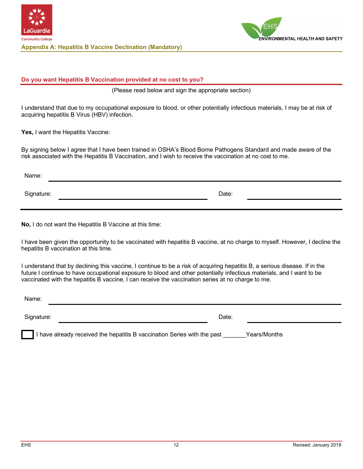



### **Do you want Hepatitis B Vaccination provided at no cost to you?**

(Please read below and sign the appropriate section)

I understand that due to my occupational exposure to blood, or other potentially infectious materials, I may be at risk of acquiring hepatitis B Virus (HBV) infection.

Yes, I want the Hepatitis Vaccine:

By signing below I agree that I have been trained in OSHA's Blood Borne Pathogens Standard and made aware of the risk associated with the Hepatitis B Vaccination, and I wish to receive the vaccination at no cost to me.

Name: Signature: Date: Date: Date: Date: Date: Date: Date: Date: Date: Date: Date: Date: Date: Date: Date: Date: Date: Date: Date: Date: Date: Date: Date: Date: Date: Date: Date: Date: Date: Date: Date: Date: Date: Date: Date: D

**No,** I do not want the Hepatitis B Vaccine at this time:

I have been given the opportunity to be vaccinated with hepatitis B vaccine, at no charge to myself. However, I decline the hepatitis B vaccination at this time.

I understand that by declining this vaccine, I continue to be a risk of acquiring hepatitis B, a serious disease. If in the future I continue to have occupational exposure to blood and other potentially infectious materials, and I want to be vaccinated with the hepatitis B vaccine, I can receive the vaccination series at no charge to me.

| Name:      |       |  |
|------------|-------|--|
| Signature: | Date: |  |

I have already received the hepatitis B vaccination Series with the past Theors/Months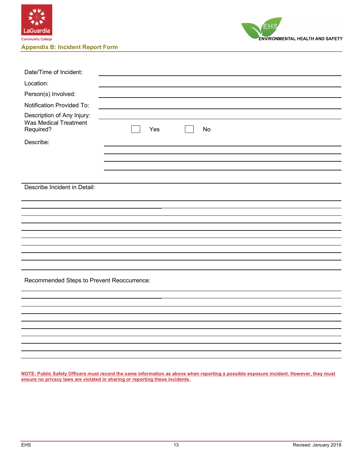



| Date/Time of Incident:                                           |           |
|------------------------------------------------------------------|-----------|
| Location:                                                        |           |
| Person(s) Involved:                                              |           |
| Notification Provided To:                                        |           |
| Description of Any Injury:<br>Was Medical Treatment<br>Required? | Yes<br>No |
| Describe:                                                        |           |
|                                                                  |           |
|                                                                  |           |
|                                                                  |           |
|                                                                  |           |
| Describe Incident in Detail:                                     |           |
|                                                                  |           |
|                                                                  |           |
|                                                                  |           |
|                                                                  |           |
|                                                                  |           |
|                                                                  |           |
|                                                                  |           |
|                                                                  |           |
| Recommended Steps to Prevent Reoccurrence:                       |           |
|                                                                  |           |
|                                                                  |           |
|                                                                  |           |
|                                                                  |           |
|                                                                  |           |
|                                                                  |           |
|                                                                  |           |
|                                                                  |           |
|                                                                  |           |

**NOTE: Public Safety Officers must record the same information as above when reporting a possible exposure incident. However, they must ensure no privacy laws are violated in sharing or reporting these incidents.**